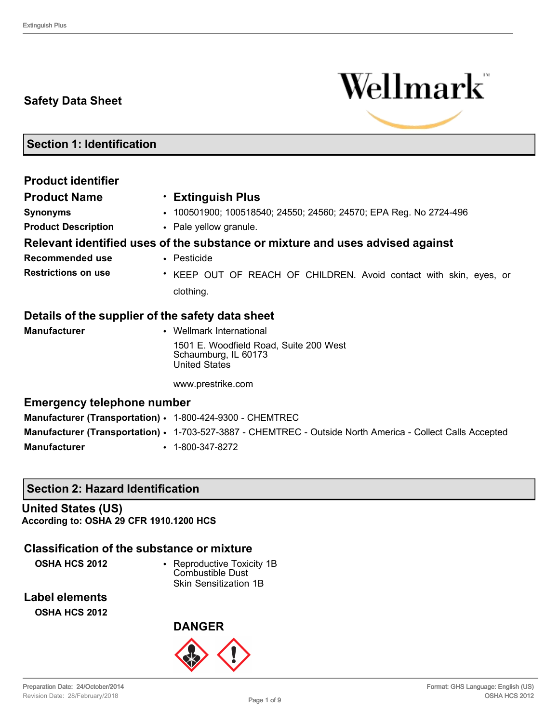# **Safety Data Sheet**



**Section 1: Identification**

| <b>Product identifier</b>                                 |                                                                                                            |
|-----------------------------------------------------------|------------------------------------------------------------------------------------------------------------|
| <b>Product Name</b>                                       | • Extinguish Plus                                                                                          |
| <b>Synonyms</b>                                           | • 100501900; 100518540; 24550; 24560; 24570; EPA Reg. No 2724-496                                          |
| <b>Product Description</b>                                | • Pale yellow granule.                                                                                     |
|                                                           | Relevant identified uses of the substance or mixture and uses advised against                              |
| Recommended use                                           | $\cdot$ Pesticide                                                                                          |
| <b>Restrictions on use</b>                                | * KEEP OUT OF REACH OF CHILDREN. Avoid contact with skin, eyes, or                                         |
|                                                           | clothing.                                                                                                  |
| Details of the supplier of the safety data sheet          |                                                                                                            |
| <b>Manufacturer</b>                                       | • Wellmark International                                                                                   |
|                                                           | 1501 E. Woodfield Road, Suite 200 West<br>Schaumburg, IL 60173<br><b>United States</b>                     |
|                                                           | www.prestrike.com                                                                                          |
| <b>Emergency telephone number</b>                         |                                                                                                            |
| Manufacturer (Transportation) · 1-800-424-9300 - CHEMTREC |                                                                                                            |
|                                                           | Manufacturer (Transportation) • 1-703-527-3887 - CHEMTREC - Outside North America - Collect Calls Accepted |

**Manufacturer** • 1-800-347-8272

## **Section 2: Hazard Identification**

**United States (US) According to: OSHA 29 CFR 1910.1200 HCS**

## **Classification of the substance or mixture**

**OSHA HCS 2012** • Reproductive Toxicity 1B Combustible Dust Skin Sensitization 1B

**Label elements OSHA HCS 2012**

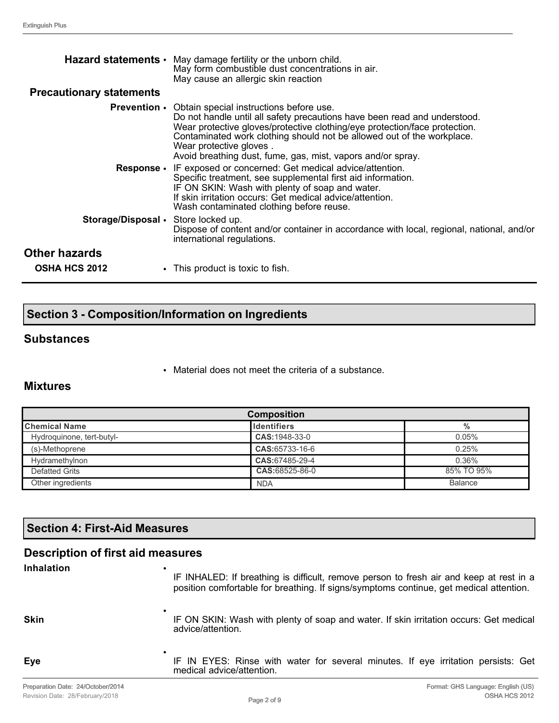| <b>Precautionary statements</b>       | Hazard statements • May damage fertility or the unborn child.<br>May form combustible dust concentrations in air.<br>May cause an allergic skin reaction                                                                                                                                                                                                                                   |
|---------------------------------------|--------------------------------------------------------------------------------------------------------------------------------------------------------------------------------------------------------------------------------------------------------------------------------------------------------------------------------------------------------------------------------------------|
|                                       | <b>Prevention</b> • Obtain special instructions before use.<br>Do not handle until all safety precautions have been read and understood.<br>Wear protective gloves/protective clothing/eye protection/face protection.<br>Contaminated work clothing should not be allowed out of the workplace.<br>Wear protective gloves.<br>Avoid breathing dust, fume, gas, mist, vapors and/or spray. |
|                                       | Response • IF exposed or concerned: Get medical advice/attention.<br>Specific treatment, see supplemental first aid information.<br>IF ON SKIN: Wash with plenty of soap and water.<br>If skin irritation occurs: Get medical advice/attention.<br>Wash contaminated clothing before reuse.                                                                                                |
| Storage/Disposal • Store locked up.   | Dispose of content and/or container in accordance with local, regional, national, and/or<br>international regulations.                                                                                                                                                                                                                                                                     |
| Other hazards<br><b>OSHA HCS 2012</b> | • This product is toxic to fish.                                                                                                                                                                                                                                                                                                                                                           |

# **Section 3 - Composition/Information on Ingredients**

### **Substances**

• Material does not meet the criteria of a substance.

## **Mixtures**

| <b>Composition</b>        |                     |                |  |
|---------------------------|---------------------|----------------|--|
| <b>Chemical Name</b>      | <b>I</b> dentifiers | %              |  |
| Hydroquinone, tert-butyl- | CAS: 1948-33-0      | 0.05%          |  |
| (s)-Methoprene            | CAS:65733-16-6      | 0.25%          |  |
| Hydramethylnon            | CAS:67485-29-4      | 0.36%          |  |
| Defatted Grits            | CAS:68525-86-0      | 85% TO 95%     |  |
| Other ingredients         | <b>NDA</b>          | <b>Balance</b> |  |

# **Section 4: First-Aid Measures**

| <b>Description of first aid measures</b> |                                                                                                                                                                                        |
|------------------------------------------|----------------------------------------------------------------------------------------------------------------------------------------------------------------------------------------|
| <b>Inhalation</b>                        | ٠<br>IF INHALED: If breathing is difficult, remove person to fresh air and keep at rest in a<br>position comfortable for breathing. If signs/symptoms continue, get medical attention. |
| <b>Skin</b>                              | IF ON SKIN: Wash with plenty of soap and water. If skin irritation occurs: Get medical<br>advice/attention.                                                                            |
| Eye                                      | IF IN EYES: Rinse with water for several minutes. If eye irritation persists: Get<br>medical advice/attention.                                                                         |
|                                          |                                                                                                                                                                                        |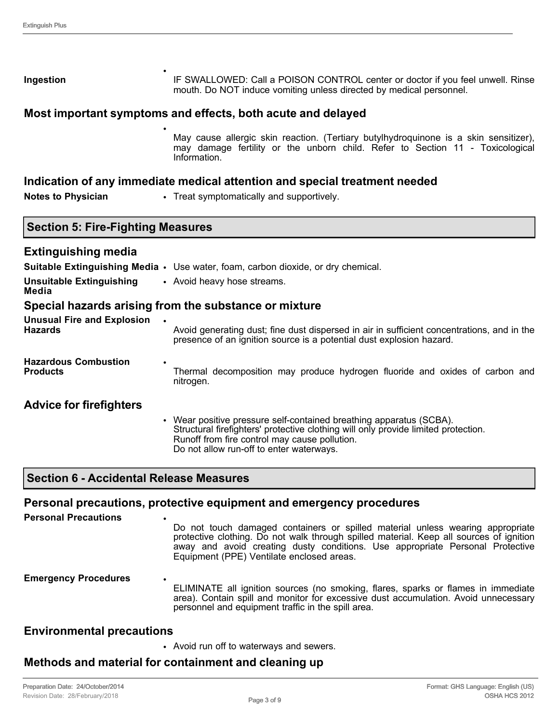| Ingestion | IF SWALLOWED: Call a POISON CONTROL center or doctor if you feel unwell. Rinse<br>mouth. Do NOT induce vomiting unless directed by medical personnel. |
|-----------|-------------------------------------------------------------------------------------------------------------------------------------------------------|

#### **Most important symptoms and effects, both acute and delayed**

•

May cause allergic skin reaction. (Tertiary butylhydroquinone is a skin sensitizer), may damage fertility or the unborn child. Refer to Section 11 - Toxicological Information.

#### **Indication of any immediate medical attention and special treatment needed**

**Notes to Physician** • Treat symptomatically and supportively.

#### **Section 5: Fire-Fighting Measures**

#### **Extinguishing media**

|                                                     | Suitable Extinguishing Media • Use water, foam, carbon dioxide, or dry chemical.                                                                                                                                                                     |
|-----------------------------------------------------|------------------------------------------------------------------------------------------------------------------------------------------------------------------------------------------------------------------------------------------------------|
| <b>Unsuitable Extinguishing</b><br>Media            | • Avoid heavy hose streams.                                                                                                                                                                                                                          |
|                                                     | Special hazards arising from the substance or mixture                                                                                                                                                                                                |
| <b>Unusual Fire and Explosion</b><br><b>Hazards</b> | Avoid generating dust; fine dust dispersed in air in sufficient concentrations, and in the<br>presence of an ignition source is a potential dust explosion hazard.                                                                                   |
| <b>Hazardous Combustion</b><br><b>Products</b>      | Thermal decomposition may produce hydrogen fluoride and oxides of carbon and<br>nitrogen.                                                                                                                                                            |
| <b>Advice for firefighters</b>                      |                                                                                                                                                                                                                                                      |
|                                                     | Wear positive pressure self-contained breathing apparatus (SCBA).<br>Structural firefighters' protective clothing will only provide limited protection.<br>Runoff from fire control may cause pollution.<br>Do not allow run-off to enter waterways. |

### **Section 6 - Accidental Release Measures**

#### **Personal precautions, protective equipment and emergency procedures**

| <b>Personal Precautions</b> | ٠<br>Do not touch damaged containers or spilled material unless wearing appropriate<br>protective clothing. Do not walk through spilled material. Keep all sources of ignition<br>away and avoid creating dusty conditions. Use appropriate Personal Protective<br>Equipment (PPE) Ventilate enclosed areas. |
|-----------------------------|--------------------------------------------------------------------------------------------------------------------------------------------------------------------------------------------------------------------------------------------------------------------------------------------------------------|
| <b>Emergency Procedures</b> | $\bullet$<br>ELIMINATE all ignition sources (no smoking, flares, sparks or flames in immediate<br>area). Contain spill and monitor for excessive dust accumulation. Avoid unnecessary<br>personnel and equipment traffic in the spill area.                                                                  |

### **Environmental precautions**

• Avoid run off to waterways and sewers.

### **Methods and material for containment and cleaning up**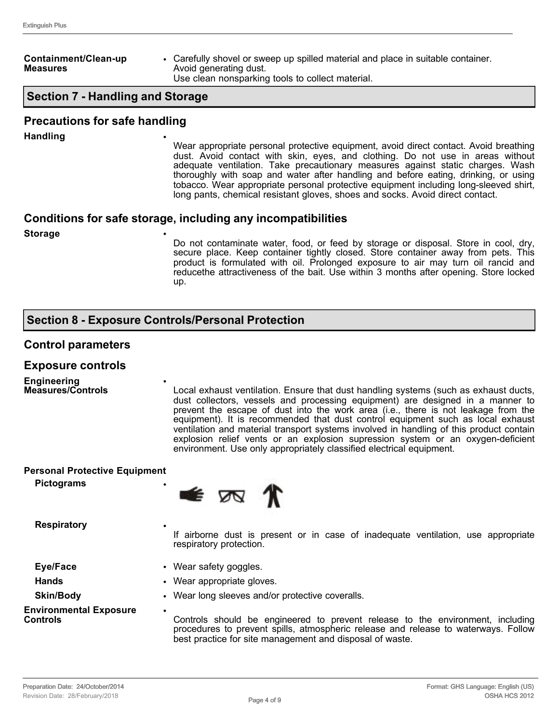#### **Containment/Clean-up Measures**

• Carefully shovel or sweep up spilled material and place in suitable container. Avoid generating dust. Use clean nonsparking tools to collect material.

## **Section 7 - Handling and Storage**

#### **Precautions for safe handling**

**Handling** •

Wear appropriate personal protective equipment, avoid direct contact. Avoid breathing dust. Avoid contact with skin, eyes, and clothing. Do not use in areas without adequate ventilation. Take precautionary measures against static charges. Wash thoroughly with soap and water after handling and before eating, drinking, or using tobacco. Wear appropriate personal protective equipment including long-sleeved shirt, long pants, chemical resistant gloves, shoes and socks. Avoid direct contact.

### **Conditions for safe storage, including any incompatibilities**

**Storage** •

Do not contaminate water, food, or feed by storage or disposal. Store in cool, dry, secure place. Keep container tightly closed. Store container away from pets. This product is formulated with oil. Prolonged exposure to air may turn oil rancid and reducethe attractiveness of the bait. Use within 3 months after opening. Store locked up.

## **Section 8 - Exposure Controls/Personal Protection**

•

### **Control parameters**

#### **Exposure controls**

**Engineering Measures/Controls**

Local exhaust ventilation. Ensure that dust handling systems (such as exhaust ducts, dust collectors, vessels and processing equipment) are designed in a manner to prevent the escape of dust into the work area (i.e., there is not leakage from the equipment). It is recommended that dust control equipment such as local exhaust ventilation and material transport systems involved in handling of this product contain explosion relief vents or an explosion supression system or an oxygen-deficient environment. Use only appropriately classified electrical equipment.

| <b>Personal Protective Equipment</b><br><b>Pictograms</b> | $\bullet$ $\pi$ $\pi$                                                                                                                                                                                                                         |  |  |
|-----------------------------------------------------------|-----------------------------------------------------------------------------------------------------------------------------------------------------------------------------------------------------------------------------------------------|--|--|
| <b>Respiratory</b>                                        | If airborne dust is present or in case of inadequate ventilation, use appropriate<br>respiratory protection.                                                                                                                                  |  |  |
| Eye/Face                                                  | • Wear safety goggles.                                                                                                                                                                                                                        |  |  |
| <b>Hands</b>                                              | • Wear appropriate gloves.                                                                                                                                                                                                                    |  |  |
| <b>Skin/Body</b>                                          | • Wear long sleeves and/or protective coveralls.                                                                                                                                                                                              |  |  |
| <b>Environmental Exposure</b><br><b>Controls</b>          | $\bullet$<br>Controls should be engineered to prevent release to the environment, including<br>procedures to prevent spills, atmospheric release and release to waterways. Follow<br>best practice for site management and disposal of waste. |  |  |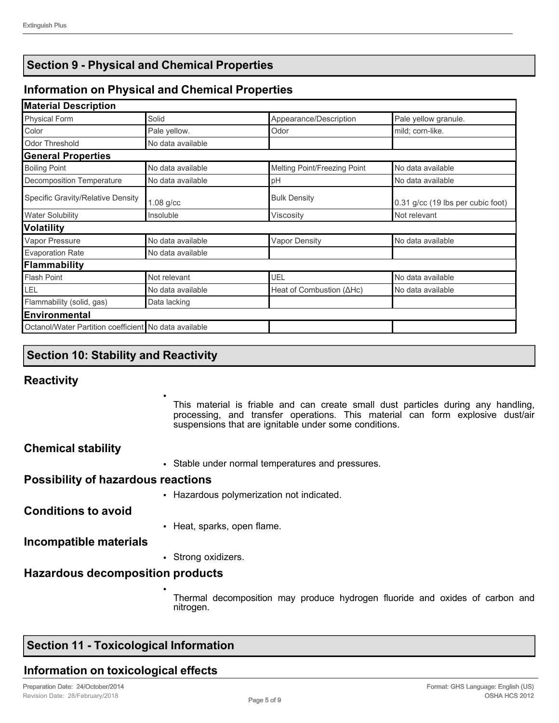# **Section 9 - Physical and Chemical Properties**

# **Information on Physical and Chemical Properties**

| <b>Material Description</b>                           |                   |                                   |                                   |
|-------------------------------------------------------|-------------------|-----------------------------------|-----------------------------------|
| <b>Physical Form</b>                                  | Solid             | Appearance/Description            | Pale yellow granule.              |
| Color                                                 | Pale yellow.      | Odor                              | mild: corn-like.                  |
| <b>Odor Threshold</b>                                 | No data available |                                   |                                   |
| <b>General Properties</b>                             |                   |                                   |                                   |
| <b>Boiling Point</b>                                  | No data available | Melting Point/Freezing Point      | No data available                 |
| Decomposition Temperature                             | No data available | pH                                | No data available                 |
| Specific Gravity/Relative Density                     | $1.08$ g/cc       | <b>Bulk Density</b>               | 0.31 g/cc (19 lbs per cubic foot) |
| <b>Water Solubility</b>                               | Insoluble         | Viscosity                         | Not relevant                      |
| <b>Volatility</b>                                     |                   |                                   |                                   |
| Vapor Pressure                                        | No data available | <b>Vapor Density</b>              | No data available                 |
| <b>Evaporation Rate</b>                               | No data available |                                   |                                   |
| Flammability                                          |                   |                                   |                                   |
| <b>Flash Point</b>                                    | Not relevant      | UEL                               | No data available                 |
| LEL                                                   | No data available | Heat of Combustion ( $\Delta$ Hc) | No data available                 |
| Flammability (solid, gas)                             | Data lacking      |                                   |                                   |
| <b>Environmental</b>                                  |                   |                                   |                                   |
| Octanol/Water Partition coefficient No data available |                   |                                   |                                   |

# **Section 10: Stability and Reactivity**

## **Reactivity**

This material is friable and can create small dust particles during any handling, processing, and transfer operations. This material can form explosive dust/air suspensions that are ignitable under some conditions.

| <b>Chemical stability</b>                 |                                                   |
|-------------------------------------------|---------------------------------------------------|
|                                           | • Stable under normal temperatures and pressures. |
| <b>Possibility of hazardous reactions</b> |                                                   |
|                                           | • Hazardous polymerization not indicated.         |
| <b>Conditions to avoid</b>                |                                                   |
|                                           | • Heat, sparks, open flame.                       |
|                                           |                                                   |

•

•

**Incompatible materials**

• Strong oxidizers.

# **Hazardous decomposition products**

Thermal decomposition may produce hydrogen fluoride and oxides of carbon and nitrogen.

# **Section 11 - Toxicological Information**

# **Information on toxicological effects**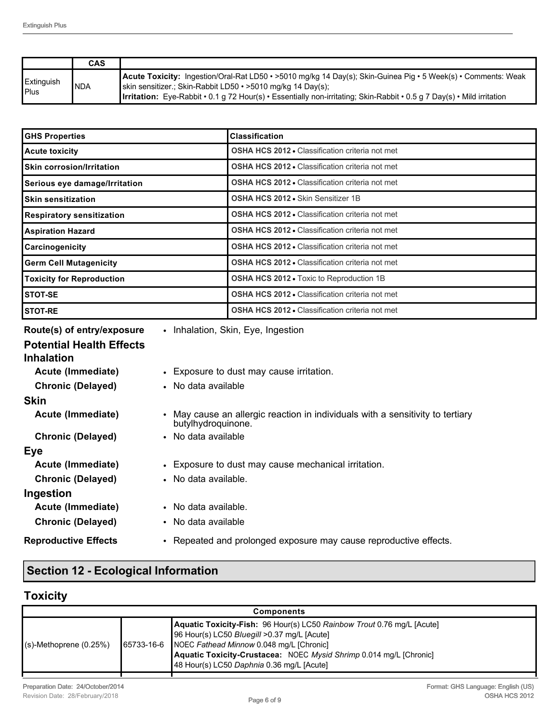|                             | <b>CAS</b> |                                                                                                                                                                                                                                                                                                                      |
|-----------------------------|------------|----------------------------------------------------------------------------------------------------------------------------------------------------------------------------------------------------------------------------------------------------------------------------------------------------------------------|
| Extinguish<br><b>I</b> Plus | <b>NDA</b> | <b>Acute Toxicity:</b> Ingestion/Oral-Rat LD50 • >5010 mg/kg 14 Day(s); Skin-Guinea Pig • 5 Week(s) • Comments: Weak<br>skin sensitizer.; Skin-Rabbit LD50 • >5010 mg/kg 14 Day(s);<br><b>Irritation:</b> Eye-Rabbit • 0.1 g 72 Hour(s) • Essentially non-irritating; Skin-Rabbit • 0.5 g 7 Day(s) • Mild irritation |

| <b>GHS Properties</b>            | <b>Classification</b>                                  |
|----------------------------------|--------------------------------------------------------|
| <b>Acute toxicity</b>            | <b>OSHA HCS 2012 • Classification criteria not met</b> |
| <b>Skin corrosion/Irritation</b> | <b>OSHA HCS 2012 • Classification criteria not met</b> |
| Serious eye damage/Irritation    | <b>OSHA HCS 2012 • Classification criteria not met</b> |
| <b>Skin sensitization</b>        | <b>OSHA HCS 2012 • Skin Sensitizer 1B</b>              |
| <b>Respiratory sensitization</b> | <b>OSHA HCS 2012 • Classification criteria not met</b> |
| <b>Aspiration Hazard</b>         | <b>OSHA HCS 2012 • Classification criteria not met</b> |
| Carcinogenicity                  | <b>OSHA HCS 2012 • Classification criteria not met</b> |
| <b>Germ Cell Mutagenicity</b>    | <b>OSHA HCS 2012 • Classification criteria not met</b> |
| <b>Toxicity for Reproduction</b> | <b>OSHA HCS 2012 - Toxic to Reproduction 1B</b>        |
| <b>STOT-SE</b>                   | <b>OSHA HCS 2012 • Classification criteria not met</b> |
| <b>STOT-RE</b>                   | <b>OSHA HCS 2012 • Classification criteria not met</b> |

| Route(s) of entry/exposure      | • Inhalation, Skin, Eye, Ingestion                                                                   |
|---------------------------------|------------------------------------------------------------------------------------------------------|
| <b>Potential Health Effects</b> |                                                                                                      |
| <b>Inhalation</b>               |                                                                                                      |
| Acute (Immediate)               | • Exposure to dust may cause irritation.                                                             |
| <b>Chronic (Delayed)</b>        | • No data available                                                                                  |
| <b>Skin</b>                     |                                                                                                      |
| Acute (Immediate)               | • May cause an allergic reaction in individuals with a sensitivity to tertiary<br>butylhydroquinone. |
| <b>Chronic (Delayed)</b>        | • No data available                                                                                  |
| Eye                             |                                                                                                      |
| Acute (Immediate)               | • Exposure to dust may cause mechanical irritation.                                                  |
| <b>Chronic (Delayed)</b>        | • No data available.                                                                                 |
| Ingestion                       |                                                                                                      |
| Acute (Immediate)               | • No data available.                                                                                 |
| <b>Chronic (Delayed)</b>        | • No data available                                                                                  |
| <b>Reproductive Effects</b>     | • Repeated and prolonged exposure may cause reproductive effects.                                    |

# **Section 12 - Ecological Information**

# **Toxicity**

| <b>Components</b>         |  |                                                                                                                                                                                                                                                                                                 |
|---------------------------|--|-------------------------------------------------------------------------------------------------------------------------------------------------------------------------------------------------------------------------------------------------------------------------------------------------|
| $(s)$ -Methoprene (0.25%) |  | Aquatic Toxicity-Fish: 96 Hour(s) LC50 Rainbow Trout 0.76 mg/L [Acute]<br>96 Hour(s) LC50 Bluegill >0.37 mg/L [Acute]<br>65733-16-6 NOEC Fathead Minnow 0.048 mg/L [Chronic]<br>Aquatic Toxicity-Crustacea: NOEC Mysid Shrimp 0.014 mg/L [Chronic]<br>48 Hour(s) LC50 Daphnia 0.36 mg/L [Acute] |
|                           |  |                                                                                                                                                                                                                                                                                                 |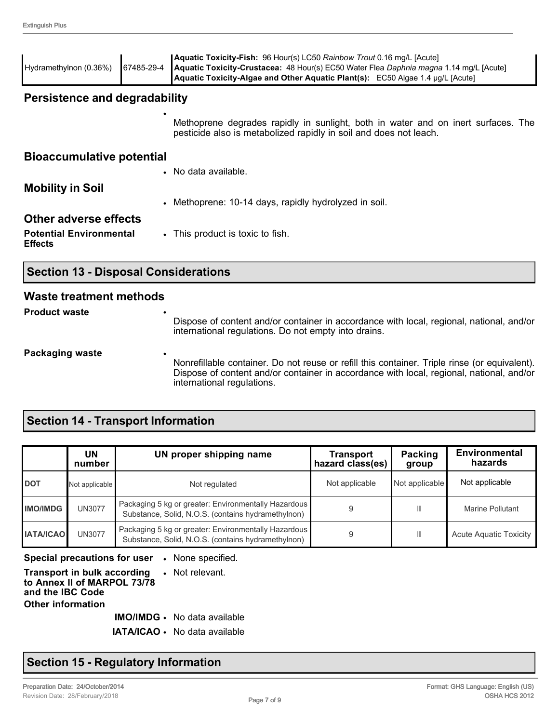| Hydramethylnon (0.36%)                           | 67485-29-4                                  | <b>Aquatic Toxicity-Fish:</b> 96 Hour(s) LC50 Rainbow Trout 0.16 mg/L [Acute]<br>Aquatic Toxicity-Crustacea: 48 Hour(s) EC50 Water Flea Daphnia magna 1.14 mg/L [Acute]<br>Aquatic Toxicity-Algae and Other Aquatic Plant(s): EC50 Algae 1.4 µg/L [Acute] |  |  |
|--------------------------------------------------|---------------------------------------------|-----------------------------------------------------------------------------------------------------------------------------------------------------------------------------------------------------------------------------------------------------------|--|--|
| <b>Persistence and degradability</b>             |                                             |                                                                                                                                                                                                                                                           |  |  |
|                                                  |                                             | Methoprene degrades rapidly in sunlight, both in water and on inert surfaces. The<br>pesticide also is metabolized rapidly in soil and does not leach.                                                                                                    |  |  |
| <b>Bioaccumulative potential</b>                 |                                             |                                                                                                                                                                                                                                                           |  |  |
|                                                  |                                             | • No data available.                                                                                                                                                                                                                                      |  |  |
| <b>Mobility in Soil</b>                          |                                             |                                                                                                                                                                                                                                                           |  |  |
|                                                  |                                             | • Methoprene: 10-14 days, rapidly hydrolyzed in soil.                                                                                                                                                                                                     |  |  |
| <b>Other adverse effects</b>                     |                                             |                                                                                                                                                                                                                                                           |  |  |
| <b>Potential Environmental</b><br><b>Effects</b> |                                             | • This product is toxic to fish.                                                                                                                                                                                                                          |  |  |
|                                                  | <b>Section 13 - Disposal Considerations</b> |                                                                                                                                                                                                                                                           |  |  |
| Maaada duqadoo qoob oo qdhaqda                   |                                             |                                                                                                                                                                                                                                                           |  |  |

#### **Waste treatment methods**

| <b>Product waste</b> |  |  |
|----------------------|--|--|
|                      |  |  |

Dispose of content and/or container in accordance with local, regional, national, and/or international regulations. Do not empty into drains.

#### **Packaging waste**

Nonrefillable container. Do not reuse or refill this container. Triple rinse (or equivalent). Dispose of content and/or container in accordance with local, regional, national, and/or international regulations.

## **Section 14 - Transport Information**

|                  | UN<br>number   | UN proper shipping name                                                                                    | Transport<br>hazard class(es) | <b>Packing</b><br>group | <b>Environmental</b><br>hazards |
|------------------|----------------|------------------------------------------------------------------------------------------------------------|-------------------------------|-------------------------|---------------------------------|
| <b>DOT</b>       | Not applicable | Not regulated                                                                                              | Not applicable                | Not applicable          | Not applicable                  |
| <b>IMO/IMDG</b>  | <b>UN3077</b>  | Packaging 5 kg or greater: Environmentally Hazardous<br>Substance, Solid, N.O.S. (contains hydramethylnon) |                               |                         | Marine Pollutant                |
| <b>IATA/ICAO</b> | <b>UN3077</b>  | Packaging 5 kg or greater: Environmentally Hazardous<br>Substance, Solid, N.O.S. (contains hydramethylnon) | 9                             | Ш                       | <b>Acute Aquatic Toxicity</b>   |

#### **Special precautions for user** • None specified.

#### **Transport in bulk according to Annex II of MARPOL 73/78 and the IBC Code** • Not relevant. **Other information**

**IMO/IMDG** • No data available

**IATA/ICAO** • No data available

## **Section 15 - Regulatory Information**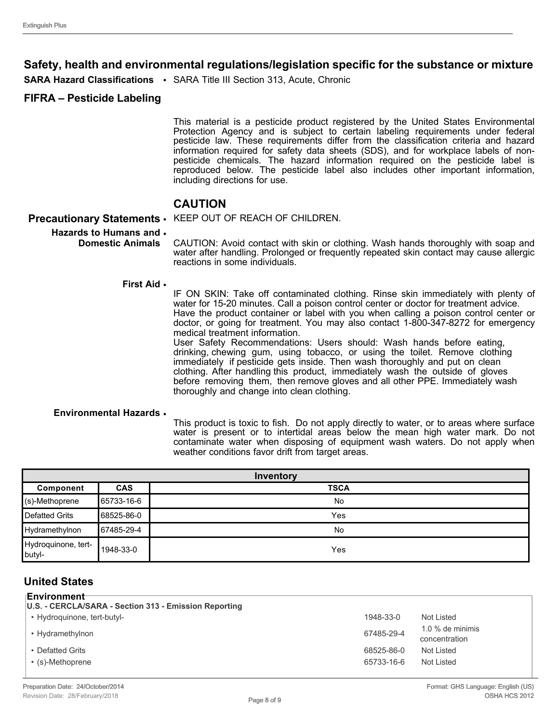## **Safety, health and environmental regulations/legislation specific for the substance or mixture**

**SARA Hazard Classifications** • SARA Title III Section 313, Acute, Chronic

### **FIFRA – Pesticide Labeling**

This material is a pesticide product registered by the United States Environmental Protection Agency and is subject to certain labeling requirements under federal pesticide law. These requirements differ from the classification criteria and hazard information required for safety data sheets (SDS), and for workplace labels of nonpesticide chemicals. The hazard information required on the pesticide label is reproduced below. The pesticide label also includes other important information, including directions for use.

## **CAUTION**

**Precautionary Statements** • KEEP OUT OF REACH OF CHILDREN.

### **Hazards to Humans and**  •

**Domestic Animals** CAUTION: Avoid contact with skin or clothing. Wash hands thoroughly with soap and water after handling. Prolonged or frequently repeated skin contact may cause allergic reactions in some individuals.

#### **First Aid** •

IF ON SKIN: Take off contaminated clothing. Rinse skin immediately with plenty of water for 15-20 minutes. Call a poison control center or doctor for treatment advice. Have the product container or label with you when calling a poison control center or doctor, or going for treatment. You may also contact 1-800-347-8272 for emergency medical treatment information. User Safety Recommendations: Users should: Wash hands before eating,

drinking, chewing gum, using tobacco, or using the toilet. Remove clothing immediately if pesticide gets inside. Then wash thoroughly and put on clean clothing. After handling this product, immediately wash the outside of gloves before removing them, then remove gloves and all other PPE. Immediately wash thoroughly and change into clean clothing.

#### **Environmental Hazards** •

This product is toxic to fish. Do not apply directly to water, or to areas where surface water is present or to intertidal areas below the mean high water mark. Do not contaminate water when disposing of equipment wash waters. Do not apply when weather conditions favor drift from target areas.

| Inventory                     |            |             |
|-------------------------------|------------|-------------|
| Component                     | <b>CAS</b> | <b>TSCA</b> |
| (s)-Methoprene                | 65733-16-6 | <b>No</b>   |
| Defatted Grits                | 68525-86-0 | Yes         |
| Hydramethylnon                | 67485-29-4 | <b>No</b>   |
| Hydroquinone, tert-<br>butyl- | 1948-33-0  | Yes         |

### **United States**

#### **Environment**

| U.S. - CERCLA/SARA - Section 313 - Emission Reporting |            |                                     |  |  |
|-------------------------------------------------------|------------|-------------------------------------|--|--|
| • Hydroguinone, tert-butyl-                           | 1948-33-0  | Not Listed                          |  |  |
| • Hydramethylnon                                      | 67485-29-4 | $1.0\%$ de minimis<br>concentration |  |  |
| • Defatted Grits                                      | 68525-86-0 | Not Listed                          |  |  |
| • (s)-Methoprene                                      | 65733-16-6 | Not Listed                          |  |  |